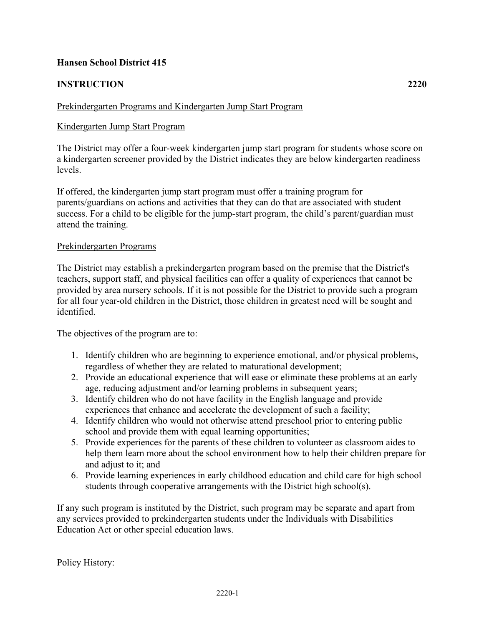## **Hansen School District 415**

# **INSTRUCTION 2220**

### Prekindergarten Programs and Kindergarten Jump Start Program

#### Kindergarten Jump Start Program

The District may offer a four-week kindergarten jump start program for students whose score on a kindergarten screener provided by the District indicates they are below kindergarten readiness levels.

If offered, the kindergarten jump start program must offer a training program for parents/guardians on actions and activities that they can do that are associated with student success. For a child to be eligible for the jump-start program, the child's parent/guardian must attend the training.

#### Prekindergarten Programs

The District may establish a prekindergarten program based on the premise that the District's teachers, support staff, and physical facilities can offer a quality of experiences that cannot be provided by area nursery schools. If it is not possible for the District to provide such a program for all four year-old children in the District, those children in greatest need will be sought and identified.

The objectives of the program are to:

- 1. Identify children who are beginning to experience emotional, and/or physical problems, regardless of whether they are related to maturational development;
- 2. Provide an educational experience that will ease or eliminate these problems at an early age, reducing adjustment and/or learning problems in subsequent years;
- 3. Identify children who do not have facility in the English language and provide experiences that enhance and accelerate the development of such a facility;
- 4. Identify children who would not otherwise attend preschool prior to entering public school and provide them with equal learning opportunities;
- 5. Provide experiences for the parents of these children to volunteer as classroom aides to help them learn more about the school environment how to help their children prepare for and adjust to it; and
- 6. Provide learning experiences in early childhood education and child care for high school students through cooperative arrangements with the District high school(s).

If any such program is instituted by the District, such program may be separate and apart from any services provided to prekindergarten students under the Individuals with Disabilities Education Act or other special education laws.

2220-1

Policy History: